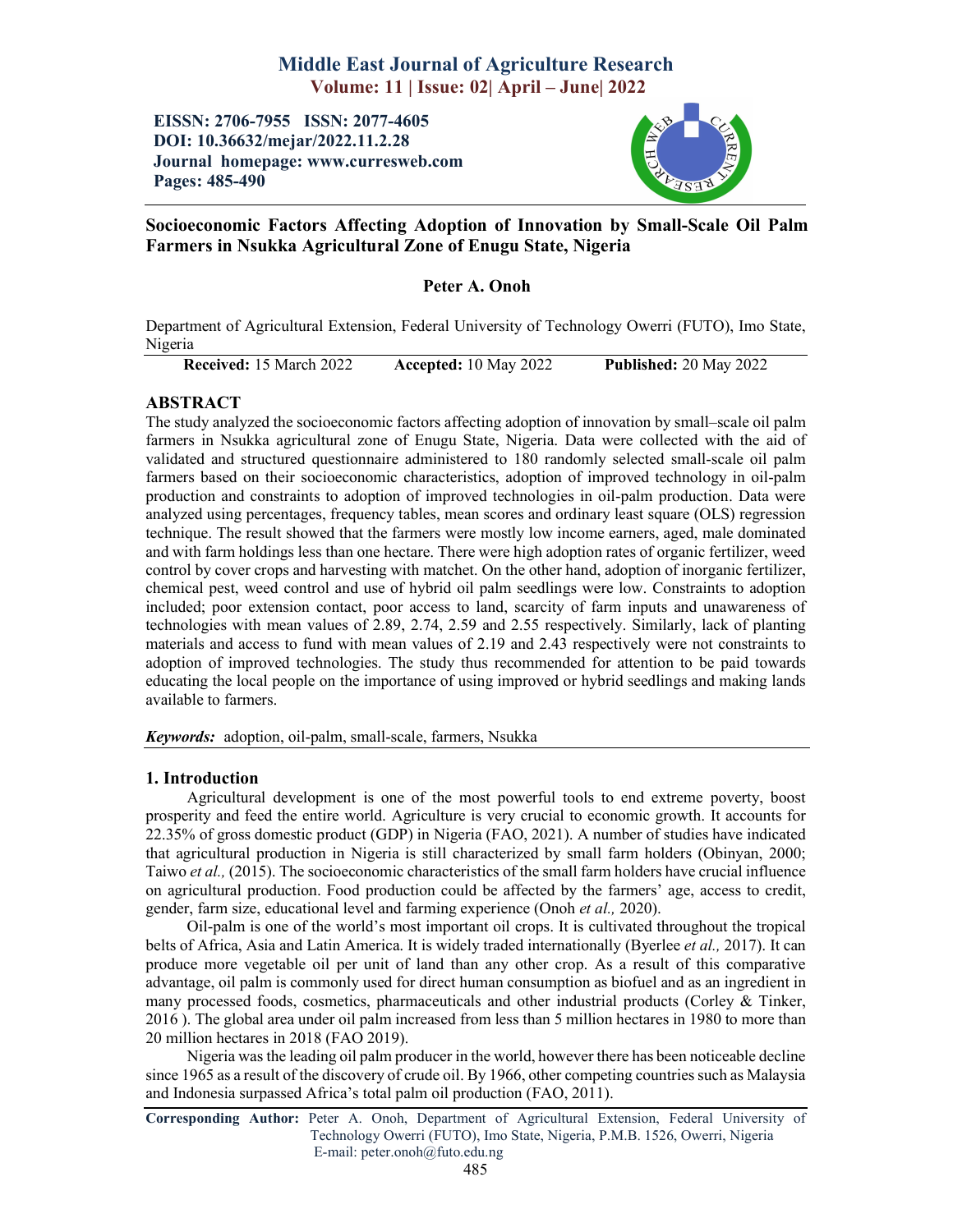# Middle East Journal of Agriculture Research Volume: 11 | Issue: 02| April – June| 2022

EISSN: 2706-7955 ISSN: 2077-4605 DOI: 10.36632/mejar/2022.11.2.28 Journal homepage: www.curresweb.com Pages: 485-490



# Socioeconomic Factors Affecting Adoption of Innovation by Small-Scale Oil Palm Farmers in Nsukka Agricultural Zone of Enugu State, Nigeria

# Peter A. Onoh

Department of Agricultural Extension, Federal University of Technology Owerri (FUTO), Imo State, Nigeria

Received: 15 March 2022 Accepted: 10 May 2022 Published: 20 May 2022

# ABSTRACT

The study analyzed the socioeconomic factors affecting adoption of innovation by small–scale oil palm farmers in Nsukka agricultural zone of Enugu State, Nigeria. Data were collected with the aid of validated and structured questionnaire administered to 180 randomly selected small-scale oil palm farmers based on their socioeconomic characteristics, adoption of improved technology in oil-palm production and constraints to adoption of improved technologies in oil-palm production. Data were analyzed using percentages, frequency tables, mean scores and ordinary least square (OLS) regression technique. The result showed that the farmers were mostly low income earners, aged, male dominated and with farm holdings less than one hectare. There were high adoption rates of organic fertilizer, weed control by cover crops and harvesting with matchet. On the other hand, adoption of inorganic fertilizer, chemical pest, weed control and use of hybrid oil palm seedlings were low. Constraints to adoption included; poor extension contact, poor access to land, scarcity of farm inputs and unawareness of technologies with mean values of 2.89, 2.74, 2.59 and 2.55 respectively. Similarly, lack of planting materials and access to fund with mean values of 2.19 and 2.43 respectively were not constraints to adoption of improved technologies. The study thus recommended for attention to be paid towards educating the local people on the importance of using improved or hybrid seedlings and making lands available to farmers.

*Keywords:* adoption, oil-palm, small-scale, farmers, Nsukka

## 1. Introduction

Agricultural development is one of the most powerful tools to end extreme poverty, boost prosperity and feed the entire world. Agriculture is very crucial to economic growth. It accounts for 22.35% of gross domestic product (GDP) in Nigeria (FAO, 2021). A number of studies have indicated that agricultural production in Nigeria is still characterized by small farm holders (Obinyan, 2000; Taiwo *et al.*, (2015). The socioeconomic characteristics of the small farm holders have crucial influence on agricultural production. Food production could be affected by the farmers' age, access to credit, gender, farm size, educational level and farming experience (Onoh *et al.,* 2020).

Oil-palm is one of the world's most important oil crops. It is cultivated throughout the tropical belts of Africa, Asia and Latin America. It is widely traded internationally (Byerlee *et al.,* 2017). It can produce more vegetable oil per unit of land than any other crop. As a result of this comparative advantage, oil palm is commonly used for direct human consumption as biofuel and as an ingredient in many processed foods, cosmetics, pharmaceuticals and other industrial products (Corley & Tinker, 2016 ). The global area under oil palm increased from less than 5 million hectares in 1980 to more than 20 million hectares in 2018 (FAO 2019).

Nigeria was the leading oil palm producer in the world, however there has been noticeable decline since 1965 as a result of the discovery of crude oil. By 1966, other competing countries such as Malaysia and Indonesia surpassed Africa's total palm oil production (FAO, 2011).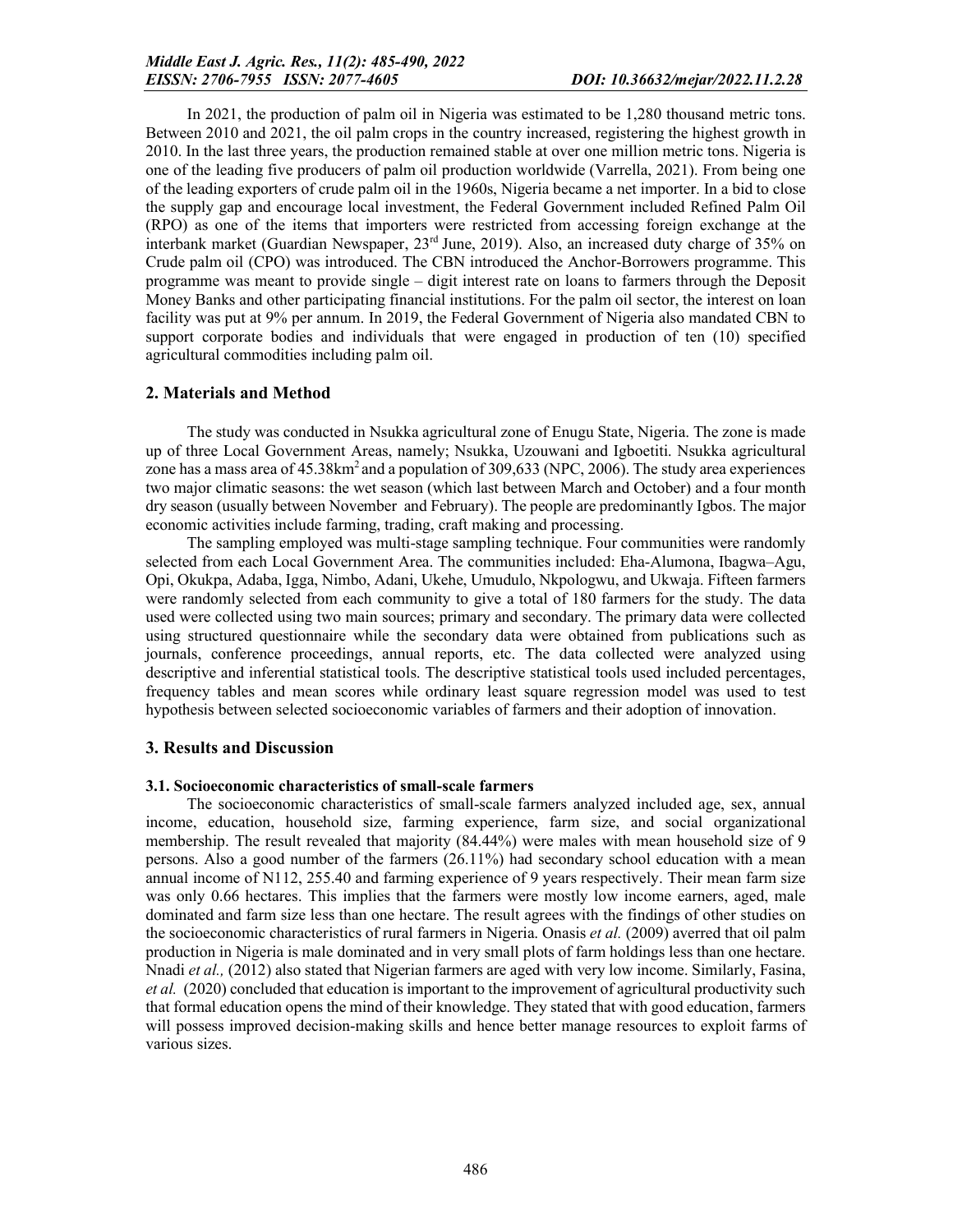In 2021, the production of palm oil in Nigeria was estimated to be 1,280 thousand metric tons. Between 2010 and 2021, the oil palm crops in the country increased, registering the highest growth in 2010. In the last three years, the production remained stable at over one million metric tons. Nigeria is one of the leading five producers of palm oil production worldwide (Varrella, 2021). From being one of the leading exporters of crude palm oil in the 1960s, Nigeria became a net importer. In a bid to close the supply gap and encourage local investment, the Federal Government included Refined Palm Oil (RPO) as one of the items that importers were restricted from accessing foreign exchange at the interbank market (Guardian Newspaper,  $23<sup>rd</sup>$  June, 2019). Also, an increased duty charge of 35% on Crude palm oil (CPO) was introduced. The CBN introduced the Anchor-Borrowers programme. This programme was meant to provide single – digit interest rate on loans to farmers through the Deposit Money Banks and other participating financial institutions. For the palm oil sector, the interest on loan facility was put at 9% per annum. In 2019, the Federal Government of Nigeria also mandated CBN to support corporate bodies and individuals that were engaged in production of ten (10) specified agricultural commodities including palm oil.

#### 2. Materials and Method

The study was conducted in Nsukka agricultural zone of Enugu State, Nigeria. The zone is made up of three Local Government Areas, namely; Nsukka, Uzouwani and Igboetiti. Nsukka agricultural zone has a mass area of  $45.38 \text{km}^2$  and a population of  $309,633$  (NPC, 2006). The study area experiences two major climatic seasons: the wet season (which last between March and October) and a four month dry season (usually between November and February). The people are predominantly Igbos. The major economic activities include farming, trading, craft making and processing.

The sampling employed was multi-stage sampling technique. Four communities were randomly selected from each Local Government Area. The communities included: Eha-Alumona, Ibagwa–Agu, Opi, Okukpa, Adaba, Igga, Nimbo, Adani, Ukehe, Umudulo, Nkpologwu, and Ukwaja. Fifteen farmers were randomly selected from each community to give a total of 180 farmers for the study. The data used were collected using two main sources; primary and secondary. The primary data were collected using structured questionnaire while the secondary data were obtained from publications such as journals, conference proceedings, annual reports, etc. The data collected were analyzed using descriptive and inferential statistical tools. The descriptive statistical tools used included percentages, frequency tables and mean scores while ordinary least square regression model was used to test hypothesis between selected socioeconomic variables of farmers and their adoption of innovation.

#### 3. Results and Discussion

#### 3.1. Socioeconomic characteristics of small-scale farmers

The socioeconomic characteristics of small-scale farmers analyzed included age, sex, annual income, education, household size, farming experience, farm size, and social organizational membership. The result revealed that majority (84.44%) were males with mean household size of 9 persons. Also a good number of the farmers (26.11%) had secondary school education with a mean annual income of N112, 255.40 and farming experience of 9 years respectively. Their mean farm size was only 0.66 hectares. This implies that the farmers were mostly low income earners, aged, male dominated and farm size less than one hectare. The result agrees with the findings of other studies on the socioeconomic characteristics of rural farmers in Nigeria. Onasis *et al.* (2009) averred that oil palm production in Nigeria is male dominated and in very small plots of farm holdings less than one hectare. Nnadi *et al.,* (2012) also stated that Nigerian farmers are aged with very low income. Similarly, Fasina, *et al.* (2020) concluded that education is important to the improvement of agricultural productivity such that formal education opens the mind of their knowledge. They stated that with good education, farmers will possess improved decision-making skills and hence better manage resources to exploit farms of various sizes.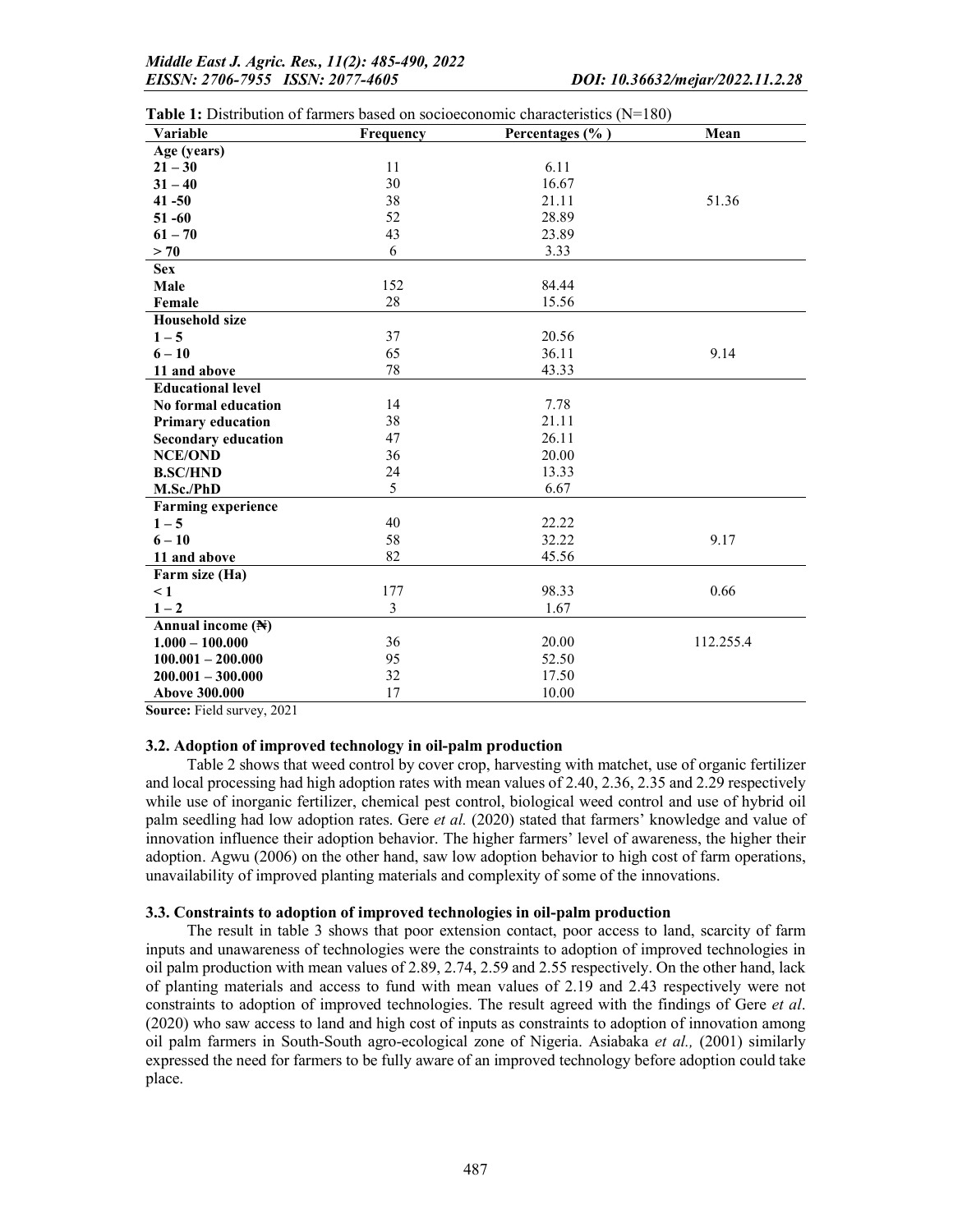| Variable                   | Frequency | <b>Fable 1.</b> Distribution of farmers based on socioeconomic characteristics $(15-100)$<br>Percentages $(\% )$ | Mean      |
|----------------------------|-----------|------------------------------------------------------------------------------------------------------------------|-----------|
| Age (years)                |           |                                                                                                                  |           |
| $21 - 30$                  | 11        | 6.11                                                                                                             |           |
| $31 - 40$                  | 30        | 16.67                                                                                                            |           |
| $41 - 50$                  | 38        | 21.11                                                                                                            | 51.36     |
| $51 - 60$                  | 52        | 28.89                                                                                                            |           |
| $61 - 70$                  | 43        | 23.89                                                                                                            |           |
| > 70                       | 6         | 3.33                                                                                                             |           |
| <b>Sex</b>                 |           |                                                                                                                  |           |
| Male                       | 152       | 84.44                                                                                                            |           |
| Female                     | 28        | 15.56                                                                                                            |           |
| <b>Household size</b>      |           |                                                                                                                  |           |
| $1 - 5$                    | 37        | 20.56                                                                                                            |           |
| $6 - 10$                   | 65        | 36.11                                                                                                            | 9.14      |
| 11 and above               | 78        | 43.33                                                                                                            |           |
| <b>Educational level</b>   |           |                                                                                                                  |           |
| No formal education        | 14        | 7.78                                                                                                             |           |
| <b>Primary education</b>   | 38        | 21.11                                                                                                            |           |
| <b>Secondary education</b> | 47        | 26.11                                                                                                            |           |
| <b>NCE/OND</b>             | 36        | 20.00                                                                                                            |           |
| <b>B.SC/HND</b>            | 24        | 13.33                                                                                                            |           |
| M.Sc./PhD                  | 5         | 6.67                                                                                                             |           |
| <b>Farming experience</b>  |           |                                                                                                                  |           |
| $1 - 5$                    | 40        | 22.22                                                                                                            |           |
| $6 - 10$                   | 58        | 32.22                                                                                                            | 9.17      |
| 11 and above               | 82        | 45.56                                                                                                            |           |
| Farm size (Ha)             |           |                                                                                                                  |           |
| $\leq 1$                   | 177       | 98.33                                                                                                            | 0.66      |
| $1-2$                      | 3         | 1.67                                                                                                             |           |
| Annual income (N)          |           |                                                                                                                  |           |
| $1.000 - 100.000$          | 36        | 20.00                                                                                                            | 112.255.4 |
| $100.001 - 200.000$        | 95        | 52.50                                                                                                            |           |
| $200.001 - 300.000$        | 32        | 17.50                                                                                                            |           |
| <b>Above 300.000</b>       | 17        | 10.00                                                                                                            |           |

Table 1: Distribution of farmers based on socioeconomic characteristics (N=180)

Source: Field survey, 2021

#### 3.2. Adoption of improved technology in oil-palm production

Table 2 shows that weed control by cover crop, harvesting with matchet, use of organic fertilizer and local processing had high adoption rates with mean values of 2.40, 2.36, 2.35 and 2.29 respectively while use of inorganic fertilizer, chemical pest control, biological weed control and use of hybrid oil palm seedling had low adoption rates. Gere *et al.* (2020) stated that farmers' knowledge and value of innovation influence their adoption behavior. The higher farmers' level of awareness, the higher their adoption. Agwu (2006) on the other hand, saw low adoption behavior to high cost of farm operations, unavailability of improved planting materials and complexity of some of the innovations.

#### 3.3. Constraints to adoption of improved technologies in oil-palm production

The result in table 3 shows that poor extension contact, poor access to land, scarcity of farm inputs and unawareness of technologies were the constraints to adoption of improved technologies in oil palm production with mean values of 2.89, 2.74, 2.59 and 2.55 respectively. On the other hand, lack of planting materials and access to fund with mean values of 2.19 and 2.43 respectively were not constraints to adoption of improved technologies. The result agreed with the findings of Gere *et al*. (2020) who saw access to land and high cost of inputs as constraints to adoption of innovation among oil palm farmers in South-South agro-ecological zone of Nigeria. Asiabaka *et al.,* (2001) similarly expressed the need for farmers to be fully aware of an improved technology before adoption could take place.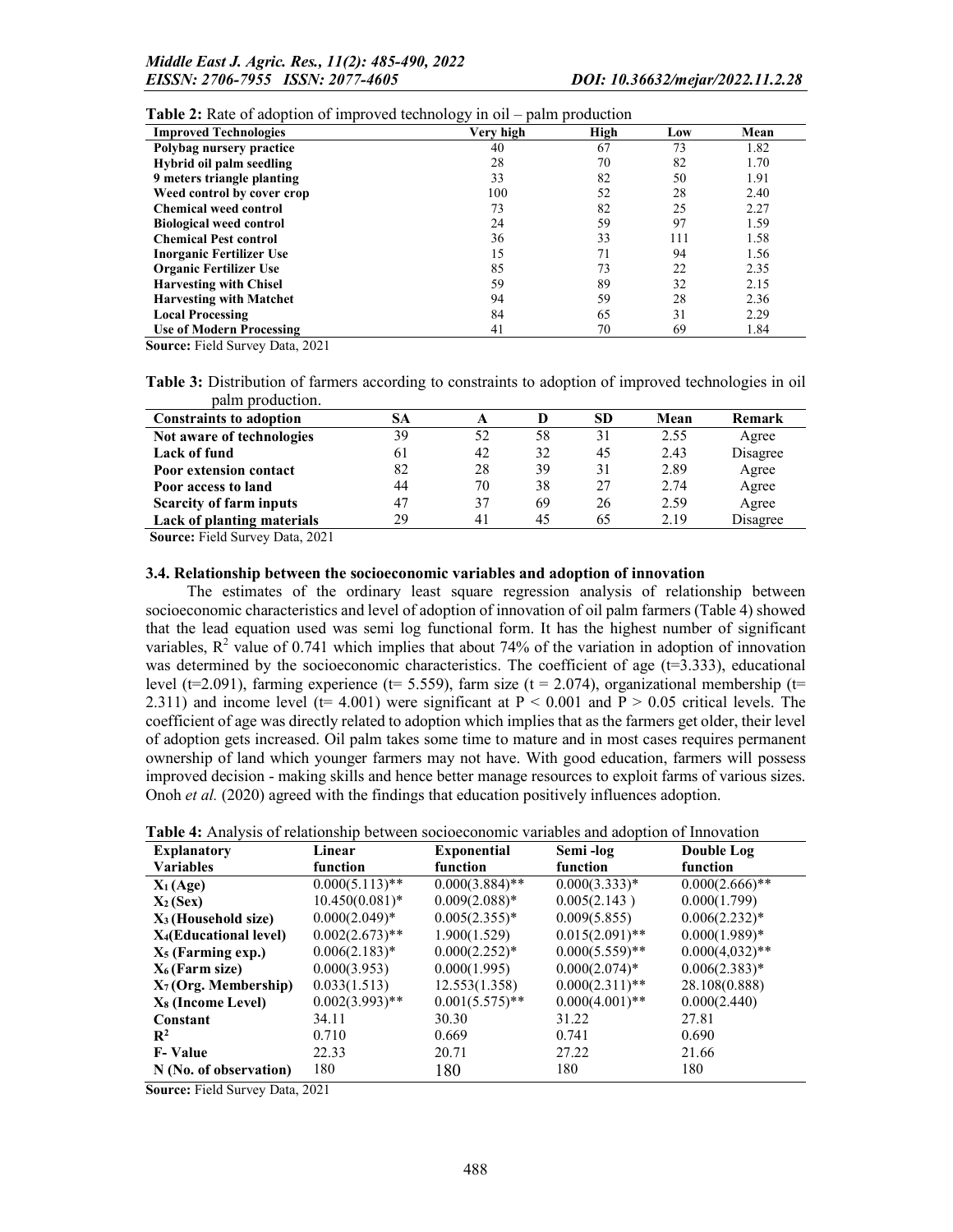|  |  | <b>Table 2:</b> Rate of adoption of improved technology in oil – palm production |
|--|--|----------------------------------------------------------------------------------|
|  |  |                                                                                  |

| <b>Improved Technologies</b>    | ິ<br>Very high | High | Low | Mean |
|---------------------------------|----------------|------|-----|------|
| Polybag nursery practice        | 40             | 67   | 73  | 1.82 |
| Hybrid oil palm seedling        | 28             | 70   | 82  | 1.70 |
| 9 meters triangle planting      | 33             | 82   | 50  | 1.91 |
| Weed control by cover crop      | 100            | 52   | 28  | 2.40 |
| <b>Chemical weed control</b>    | 73             | 82   | 25  | 2.27 |
| <b>Biological weed control</b>  | 24             | 59   | 97  | 1.59 |
| <b>Chemical Pest control</b>    | 36             | 33   | 111 | 1.58 |
| <b>Inorganic Fertilizer Use</b> | 15             | 71   | 94  | 1.56 |
| <b>Organic Fertilizer Use</b>   | 85             | 73   | 22  | 2.35 |
| <b>Harvesting with Chisel</b>   | 59             | 89   | 32  | 2.15 |
| <b>Harvesting with Matchet</b>  | 94             | 59   | 28  | 2.36 |
| <b>Local Processing</b>         | 84             | 65   | 31  | 2.29 |
| <b>Use of Modern Processing</b> | 41             | 70   | 69  | 1.84 |

Source: Field Survey Data, 2021

Table 3: Distribution of farmers according to constraints to adoption of improved technologies in oil palm production.

| <b>Constraints to adoption</b>    | SА | A  |    | SD | Mean | Remark   |
|-----------------------------------|----|----|----|----|------|----------|
| Not aware of technologies         | 39 | 52 | 58 | 31 | 2.55 | Agree    |
| Lack of fund                      | 61 | 42 | 32 | 45 | 2.43 | Disagree |
| Poor extension contact            | 82 | 28 | 39 | 31 | 2.89 | Agree    |
| Poor access to land               | 44 | 70 | 38 | 27 | 2.74 | Agree    |
| <b>Scarcity of farm inputs</b>    | 47 | 37 | 69 | 26 | 2.59 | Agree    |
| <b>Lack of planting materials</b> | 29 | 41 | 45 | 65 | 2.19 | Disagree |

Source: Field Survey Data, 2021

#### 3.4. Relationship between the socioeconomic variables and adoption of innovation

The estimates of the ordinary least square regression analysis of relationship between socioeconomic characteristics and level of adoption of innovation of oil palm farmers (Table 4) showed that the lead equation used was semi log functional form. It has the highest number of significant variables,  $R^2$  value of 0.741 which implies that about 74% of the variation in adoption of innovation was determined by the socioeconomic characteristics. The coefficient of age  $(t=3.333)$ , educational level (t=2.091), farming experience (t= 5.559), farm size (t = 2.074), organizational membership (t= 2.311) and income level ( $t= 4.001$ ) were significant at  $P < 0.001$  and  $P > 0.05$  critical levels. The coefficient of age was directly related to adoption which implies that as the farmers get older, their level of adoption gets increased. Oil palm takes some time to mature and in most cases requires permanent ownership of land which younger farmers may not have. With good education, farmers will possess improved decision - making skills and hence better manage resources to exploit farms of various sizes. Onoh *et al.* (2020) agreed with the findings that education positively influences adoption.

| <b>Explanatory</b>                       | Linear<br><b>Exponential</b><br>Semi-log |                   |                   | Double Log        |
|------------------------------------------|------------------------------------------|-------------------|-------------------|-------------------|
| <b>Variables</b>                         | function                                 | function          | function          | function          |
| $X_1(Age)$                               | $0.000(5.113)$ **                        | $0.000(3.884)$ ** | $0.000(3.333)*$   | $0.000(2.666)$ ** |
| $X_2$ (Sex)                              | $10.450(0.081)$ *                        | $0.009(2.088)*$   | 0.005(2.143)      | 0.000(1.799)      |
| $X_3$ (Household size)                   | $0.000(2.049)*$                          | $0.005(2.355)^*$  | 0.009(5.855)      | $0.006(2.232)*$   |
| <b>X<sub>4</sub></b> (Educational level) | $0.002(2.673)$ **                        | 1.900(1.529)      | $0.015(2.091)$ ** | $0.000(1.989)*$   |
| $X_5$ (Farming exp.)                     | $0.006(2.183)*$                          | $0.000(2.252)*$   | $0.000(5.559)$ ** | $0.000(4,032)**$  |
| $X_6$ (Farm size)                        | 0.000(3.953)                             | 0.000(1.995)      | $0.000(2.074)$ *  | $0.006(2.383)*$   |
| $X_7$ (Org. Membership)                  | 0.033(1.513)                             | 12.553(1.358)     | $0.000(2.311)$ ** | 28.108(0.888)     |
| X <sub>8</sub> (Income Level)            | $0.002(3.993)$ **                        | $0.001(5.575)$ ** | $0.000(4.001)$ ** | 0.000(2.440)      |
| Constant                                 | 34.11                                    | 30.30             | 31.22             | 27.81             |
| $\mathbf{R}^2$                           | 0.710                                    | 0.669             | 0.741             | 0.690             |
| <b>F-Value</b>                           | 22.33                                    | 20.71             | 27.22             | 21.66             |
| N (No. of observation)                   | 180                                      | 180               | 180               | 180               |

Source: Field Survey Data, 2021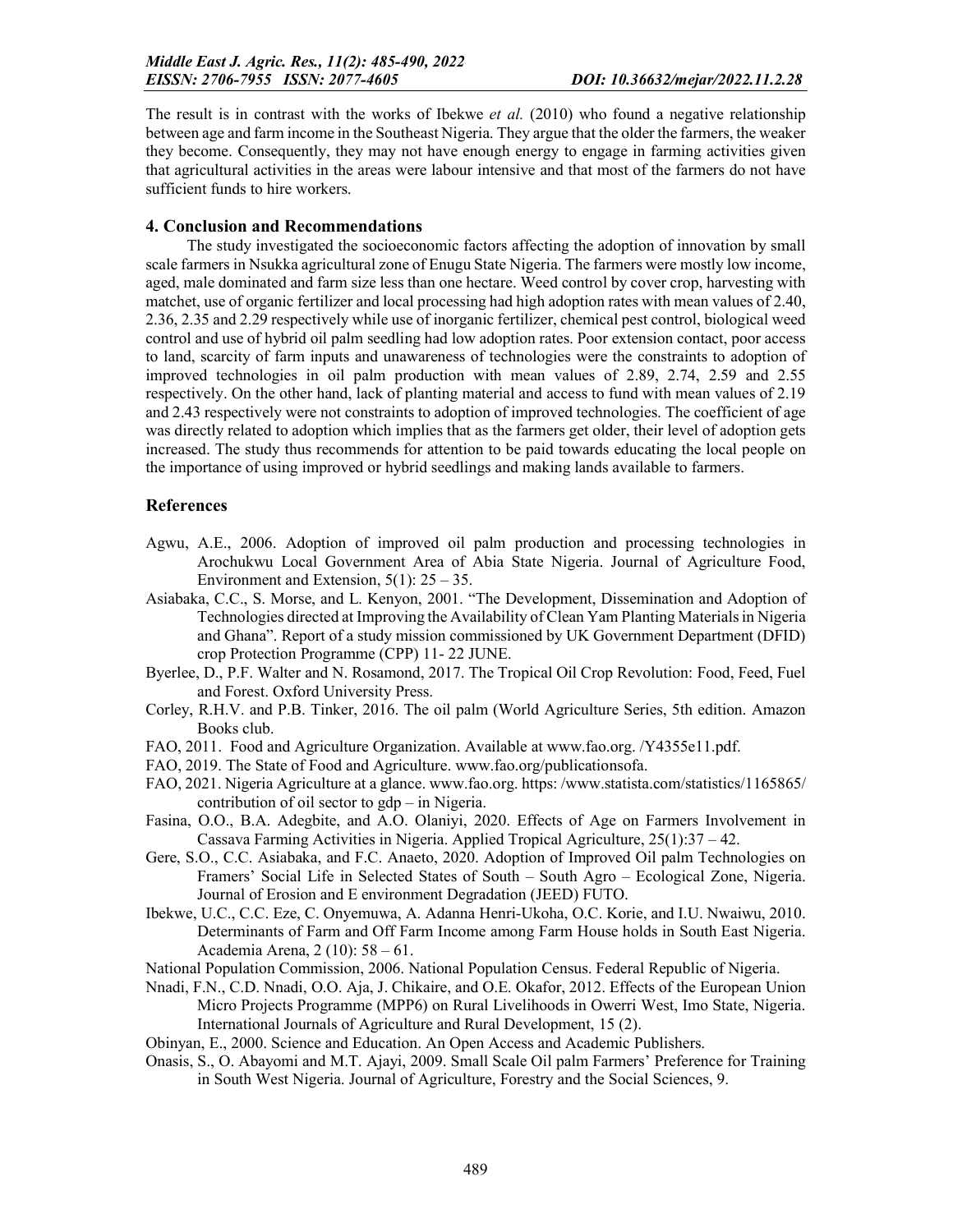The result is in contrast with the works of Ibekwe *et al.* (2010) who found a negative relationship between age and farm income in the Southeast Nigeria. They argue that the older the farmers, the weaker they become. Consequently, they may not have enough energy to engage in farming activities given that agricultural activities in the areas were labour intensive and that most of the farmers do not have sufficient funds to hire workers.

### 4. Conclusion and Recommendations

The study investigated the socioeconomic factors affecting the adoption of innovation by small scale farmers in Nsukka agricultural zone of Enugu State Nigeria. The farmers were mostly low income, aged, male dominated and farm size less than one hectare. Weed control by cover crop, harvesting with matchet, use of organic fertilizer and local processing had high adoption rates with mean values of 2.40, 2.36, 2.35 and 2.29 respectively while use of inorganic fertilizer, chemical pest control, biological weed control and use of hybrid oil palm seedling had low adoption rates. Poor extension contact, poor access to land, scarcity of farm inputs and unawareness of technologies were the constraints to adoption of improved technologies in oil palm production with mean values of 2.89, 2.74, 2.59 and 2.55 respectively. On the other hand, lack of planting material and access to fund with mean values of 2.19 and 2.43 respectively were not constraints to adoption of improved technologies. The coefficient of age was directly related to adoption which implies that as the farmers get older, their level of adoption gets increased. The study thus recommends for attention to be paid towards educating the local people on the importance of using improved or hybrid seedlings and making lands available to farmers.

## **References**

- Agwu, A.E., 2006. Adoption of improved oil palm production and processing technologies in Arochukwu Local Government Area of Abia State Nigeria. Journal of Agriculture Food, Environment and Extension,  $5(1)$ :  $25 - 35$ .
- Asiabaka, C.C., S. Morse, and L. Kenyon, 2001. "The Development, Dissemination and Adoption of Technologies directed at Improving the Availability of Clean Yam Planting Materials in Nigeria and Ghana". Report of a study mission commissioned by UK Government Department (DFID) crop Protection Programme (CPP) 11- 22 JUNE.
- Byerlee, D., P.F. Walter and N. Rosamond, 2017. The Tropical Oil Crop Revolution: Food, Feed, Fuel and Forest. Oxford University Press.
- Corley, R.H.V. and P.B. Tinker, 2016. The oil palm (World Agriculture Series, 5th edition. Amazon Books club.
- FAO, 2011. Food and Agriculture Organization. Available at www.fao.org. /Y4355e11.pdf.
- FAO, 2019. The State of Food and Agriculture. www.fao.org/publicationsofa.
- FAO, 2021. Nigeria Agriculture at a glance. www.fao.org. https: /www.statista.com/statistics/1165865/ contribution of oil sector to gdp – in Nigeria.
- Fasina, O.O., B.A. Adegbite, and A.O. Olaniyi, 2020. Effects of Age on Farmers Involvement in Cassava Farming Activities in Nigeria. Applied Tropical Agriculture, 25(1):37 – 42.
- Gere, S.O., C.C. Asiabaka, and F.C. Anaeto, 2020. Adoption of Improved Oil palm Technologies on Framers' Social Life in Selected States of South – South Agro – Ecological Zone, Nigeria. Journal of Erosion and E environment Degradation (JEED) FUTO.
- Ibekwe, U.C., C.C. Eze, C. Onyemuwa, A. Adanna Henri-Ukoha, O.C. Korie, and I.U. Nwaiwu, 2010. Determinants of Farm and Off Farm Income among Farm House holds in South East Nigeria. Academia Arena, 2 (10): 58 – 61.
- National Population Commission, 2006. National Population Census. Federal Republic of Nigeria.
- Nnadi, F.N., C.D. Nnadi, O.O. Aja, J. Chikaire, and O.E. Okafor, 2012. Effects of the European Union Micro Projects Programme (MPP6) on Rural Livelihoods in Owerri West, Imo State, Nigeria. International Journals of Agriculture and Rural Development, 15 (2).
- Obinyan, E., 2000. Science and Education. An Open Access and Academic Publishers.
- Onasis, S., O. Abayomi and M.T. Ajayi, 2009. Small Scale Oil palm Farmers' Preference for Training in South West Nigeria. Journal of Agriculture, Forestry and the Social Sciences, 9.